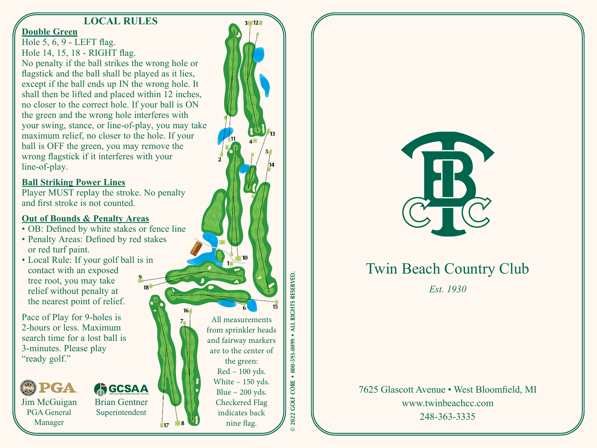### **LOCAL RULES**

#### **Double Green**

Hole 5, 6, 9 - LEFT flag. Hole 14, 15, 18 - RIGHT flag. No penalty if the ball strikes the wrong hole or flagstick and the ball shall be played as it lies, except if the ball ends up IN the wrong hole. It shall then be lifted and placed within 12 inches, no closer to the correct hole. If your ball is ON the green and the wrong hole interferes with your swing, stance, or line-of-play, you may take maximum relief, no closer to the hole. If your ball is OFF the green, you may remove the wrong flagstick if it interferes with your line-of-play.

#### **Ball Striking Power Lines**

Player MUST replay the stroke. No penalty and first stroke is not counted.

#### **Out of Bounds & Penalty Areas**

- OB: Defined by white stakes or fence line
- Penalty Areas: Defined by red stakes or red turf paint.
- Local Rule: If your golf ball is in contact with an exposed tree root, you may take relief without penalty at the nearest point of relief.

Pace of Play for 9-holes is 2-hours or less. Maximum search time for a lost ball is 3-minutes. Please play "ready golf."



## **AGCSAA**

Jim McGuigan PGA General Manager



Brian Gentner Superintendent



**© 2022 GOLF CORE • 800-593-0099 • ALL RIGHTS RESERVED.**RIGHTS RESERVED **LLIA** 800-593-0099 2022 GOLF CORE .



# Twin Beach Country Club

*Est. 1930*

7625 Glascott Avenue • West Bloomfield, MI www.twinbeachcc.com 248-363-3335